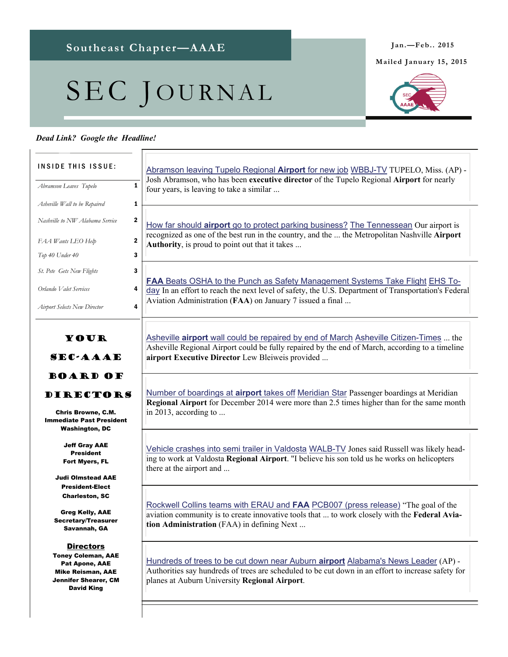Southeast Chapter—AAAE Jan.—Feb.. 2015

## SEC JOURNAL

## *Dead Link? Google the Headline!*

Your SEC-AAAE Board of DIRECTORS Chris Browne, C.M. Immediate Past President Washington, DC Jeff Gray AAE President Fort Myers, FL Judi Olmstead AAE President-Elect Charleston, SC Greg Kelly, AAE Secretary/Treasurer Savannah, GA **Directors** Toney Coleman, AAE Pat Apone, AAE Mike Reisman, AAE Jennifer Shearer, CM David King INSIDE THIS ISSUE: *Abramson Leaves Tupelo* **1** *Asheville Wall to be Repaired* **1** *Nashville to NW Alabama Service* 2 *FAA Wants LEO Help* 2 *Top 40 Under 40* 3 *St. Pete Gets New Flights* 3 *Airport Selects New Director* 4 *Orlando Valet Services* 4 How far should **airport** [go to protect parking business?](https://www.google.com/url?rct=j&sa=t&url=http://www.tennessean.com/story/opinion/columnists/frank-daniels/2015/01/10/metropolitan-nashville-airport-authority-parking/21538777/&ct=ga&cd=CAEYACoUMTE2NzU2NDM3NTI4MDc4ODQ2NDUyGjVjNDdjNTdkYTkzYzMzNTE6Y29tOmVuOlVT&usg=AFQjCNFj-b_VToXy43wLO5odSaXRJEA2EQ) The Tennessean Our airport is recognized as one of the best run in the country, and the ... the Metropolitan Nashville **Airport Authority**, is proud to point out that it takes ... **FAA** [Beats OSHA to the Punch as Safety Management Systems Take Flight](https://www.google.com/url?rct=j&sa=t&url=http://ehstoday.com/safety/faa-beats-osha-punch-safety-management-systems-take-flight&ct=ga&cd=CAEYACoUMTEyMTYzMjM2NTQ0ODczMTAyMTkyGmE2ZWU3NmYyY2I3MTEzODU6Y29tOmVuOlVT&usg=AFQjCNFUOcohZK1tNXHtU92rq_NT2lfCbw) EHS Today In an effort to reach the next level of safety, the U.S. Department of Transportation's Federal Aviation Administration (**FAA**) on January 7 issued a final ... Asheville **airport** [wall could be repaired by end of March](https://www.google.com/url?rct=j&sa=t&url=http://www.citizen-times.com/story/news/local/2015/01/09/airport-wall-repaired-end-march/21506373/&ct=ga&cd=CAEYASoUMTM1NDEzODYyNTU5NzkzMTM3MTgyGjdmNGRmYWQ1YzM3YWJjNDU6Y29tOmVuOlVT&usg=AFQjCNGjb4tONcqjQa3FzX7W4f5zGtVkXA) Asheville Citizen-Times ... the Asheville Regional Airport could be fully repaired by the end of March, according to a timeline **airport Executive Director** Lew Bleiweis provided ... [Abramson leaving Tupelo Regional](https://www.google.com/url?rct=j&sa=t&url=http://www.wbbjtv.com/news/regional/Abramson-leaving-Tupelo-Regional-Airport-for-new-job-287994231.html&ct=ga&cd=CAEYBCoUMTM1NDEzODYyNTU5NzkzMTM3MTgyGjdmNGRmYWQ1YzM3YWJjNDU6Y29tOmVuOlVT&usg=AFQjCNEfhNP3uM-s1cra71_UB4R-ayOw3w) **Airport** for new job WBBJ-TV TUPELO, Miss. (AP) - Josh Abramson, who has been **executive director** of the Tupelo Regional **Airport** for nearly four years, is leaving to take a similar ... [Number of boardings at](https://www.google.com/url?rct=j&sa=t&url=http://www.meridianstar.com/news/number-of-boardings-at-airport-takes-off/article_0b838b8c-97b3-11e4-88a9-53350086c271.html&ct=ga&cd=CAEYACoRNTk2OTI0NzQxODU2MDAzNzEyGjNmNjczOTUwYjgzOGRjZTE6Y29tOmVuOlVT&usg=AFQjCNFNRqFP18EBFXshIJxBXNPB3witHw) **airport** takes off Meridian Star Passenger boardings at Meridian **Regional Airport** for December 2014 were more than 2.5 times higher than for the same month in 2013, according to ... [Vehicle crashes into semi trailer in Valdosta](https://www.google.com/url?rct=j&sa=t&url=http://www.walb.com/story/27800462/vehicle-crashes-into-semi-in-valdosta&ct=ga&cd=CAEYACoUMTAyNTI0MDczNjg4MDAyODIzMTcyGjNmNjczOTUwYjgzOGRjZTE6Y29tOmVuOlVT&usg=AFQjCNGUOdn3EE20R2uDimiG5ZqcH7fDrA) WALB-TV Jones said Russell was likely heading to work at Valdosta **Regional Airport**. "I believe his son told us he works on helicopters there at the airport and ... [Rockwell Collins teams with ERAU and](https://www.google.com/url?rct=j&sa=t&url=http://www.pcb007.com/pages/zone.cgi%3Fa%3D106133&ct=ga&cd=CAEYACoUMTU4NjQ5NjI0OTk0ODc2NTQwNjIyGjY4N2ZlNmExMDNkMTI4OWM6Y29tOmVuOlVT&usg=AFQjCNHMT1MuCij6LeUG5Ge8iR5FuCPNtg) **FAA** PCB007 (press release) "The goal of the aviation community is to create innovative tools that ... to work closely with the **Federal Aviation Administration** (FAA) in defining Next ... [Hundreds of trees to be cut down near Auburn](https://www.google.com/url?rct=j&sa=t&url=http://www.abc3340.com/story/27821806/hundreds-of-trees-to-be-cut-down-near-auburn-airport&ct=ga&cd=CAEYACoUMTY3NjkzODY4OTgxMTk1MjU1NzEyGjNmNjczOTUwYjgzOGRjZTE6Y29tOmVuOlVT&usg=AFQjCNG2tq2CyTNdCuJaYEqJ572cHWsGtA) **airport** Alabama's News Leader (AP) - Authorities say hundreds of trees are scheduled to be cut down in an effort to increase safety for planes at Auburn University **Regional Airport**.

**Mailed January 15, 2015** 

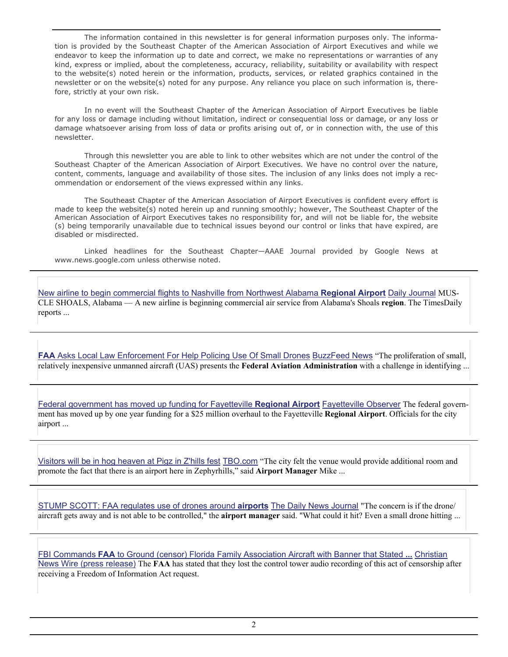The information contained in this newsletter is for general information purposes only. The information is provided by the Southeast Chapter of the American Association of Airport Executives and while we endeavor to keep the information up to date and correct, we make no representations or warranties of any kind, express or implied, about the completeness, accuracy, reliability, suitability or availability with respect to the website(s) noted herein or the information, products, services, or related graphics contained in the newsletter or on the website(s) noted for any purpose. Any reliance you place on such information is, therefore, strictly at your own risk.

 In no event will the Southeast Chapter of the American Association of Airport Executives be liable for any loss or damage including without limitation, indirect or consequential loss or damage, or any loss or damage whatsoever arising from loss of data or profits arising out of, or in connection with, the use of this newsletter.

 Through this newsletter you are able to link to other websites which are not under the control of the Southeast Chapter of the American Association of Airport Executives. We have no control over the nature, content, comments, language and availability of those sites. The inclusion of any links does not imply a recommendation or endorsement of the views expressed within any links.

 The Southeast Chapter of the American Association of Airport Executives is confident every effort is made to keep the website(s) noted herein up and running smoothly; however, The Southeast Chapter of the American Association of Airport Executives takes no responsibility for, and will not be liable for, the website (s) being temporarily unavailable due to technical issues beyond our control or links that have expired, are disabled or misdirected.

 Linked headlines for the Southeast Chapter—AAAE Journal provided by Google News at www.news.google.com unless otherwise noted.

[New airline to begin commercial flights to Nashville from Northwest Alabama](https://www.google.com/url?rct=j&sa=t&url=http://www.dailyjournal.net/view/story/17176293f5ff4997963957037eaeaf9a/AL--Muscle-Shoals-Seaport-Airlines/&ct=ga&cd=CAEYASoTNTYyODA2MzE1ODk5MjYzMzQ1NzIaM2Y2NzM5NTBiODM4ZGNlMTpjb206ZW46VVM&usg=AFQjCNG3XeQjmJ1CErqrqeJdtHkDIoYMJg) **Regional Airport** Daily Journal MUS-CLE SHOALS, Alabama — A new airline is beginning commercial air service from Alabama's Shoals **region**. The TimesDaily reports ...

**FAA** [Asks Local Law Enforcement For Help Policing Use Of Small Drones](https://www.google.com/url?rct=j&sa=t&url=http://www.buzzfeed.com/stephaniemcneal/faa-asks-local-law-enforcement-for-help-policing-use-of-smal&ct=ga&cd=CAEYACoUMTcxMDA2MTY5MTc1NjY2MzQxNDkyGjY4N2ZlNmExMDNkMTI4OWM6Y29tOmVuOlVT&usg=AFQjCNG4E6fnwl-lEy1z0UP85DpmaZ-HWA) BuzzFeed News "The proliferation of small, relatively inexpensive unmanned aircraft (UAS) presents the **Federal Aviation Administration** with a challenge in identifying ...

[Federal government has moved up funding for Fayetteville](https://www.google.com/url?rct=j&sa=t&url=http://www.fayobserver.com/news/local/federal-government-has-moved-up-funding-for-fayetteville-regional-airport/article_8e11bea5-d505-5812-9aa4-296a29250b3e.html&ct=ga&cd=CAEYACoTNTE0NDI5NjIyMDY4NTI2NTIzMjIaM2Y2NzM5NTBiODM4ZGNlMTpjb206ZW46VVM&usg=AFQjCNGM5gTJUQW4AySlOX1T20ZlTwLY_w) **Regional Airport** Fayetteville Observer The federal government has moved up by one year funding for a \$25 million overhaul to the Fayetteville **Regional Airport**. Officials for the city airport ...

[Visitors will be in hog heaven at Pigz in Z'hills fest](https://www.google.com/url?rct=j&sa=t&url=http://tbo.com/pasco-county/visitors-will-be-in-hog-heaven-at-pigz-in-zhills-fest-20150111/&ct=ga&cd=CAEYCCoUMTM1NjA5NzAzNjU4ODkwNjQ2MTkyGjhlY2I2NzFkZWZlZDY4MWU6Y29tOmVuOlVT&usg=AFQjCNGpjBK8TYnZPg60Bi6EybQtc3-Faw) TBO.com "The city felt the venue would provide additional room and promote the fact that there is an airport here in Zephyrhills," said **Airport Manager** Mike ...

[STUMP SCOTT: FAA regulates use of drones around](https://www.google.com/url?rct=j&sa=t&url=http://www.dnj.com/story/opinion/columnists/2015/01/10/stump-scott-faa-regulates-use-drones-around-airports/21575157/&ct=ga&cd=CAEYAyoUMTM1NjA5NzAzNjU4ODkwNjQ2MTkyGjhlY2I2NzFkZWZlZDY4MWU6Y29tOmVuOlVT&usg=AFQjCNF1K-KLRF-_VegugWOf8dX8FHk5mw) **airports** The Daily News Journal "The concern is if the drone/ aircraft gets away and is not able to be controlled," the **airport manager** said. "What could it hit? Even a small drone hitting ...

FBI Commands **FAA** [to Ground \(censor\) Florida Family Association Aircraft with Banner that Stated](https://www.google.com/url?rct=j&sa=t&url=http://www.christiannewswire.com/news/9148475357.html&ct=ga&cd=CAEYAyoTMzU3NTc3MDAxNDIyMDY4ODc2NDIaYTZlZTc2ZjJjYjcxMTM4NTpjb206ZW46VVM&usg=AFQjCNHvwY88MKYD_vV1Zxd5cGjJL4NN7Q) **...** Christian News Wire (press release) The **FAA** has stated that they lost the control tower audio recording of this act of censorship after receiving a Freedom of Information Act request.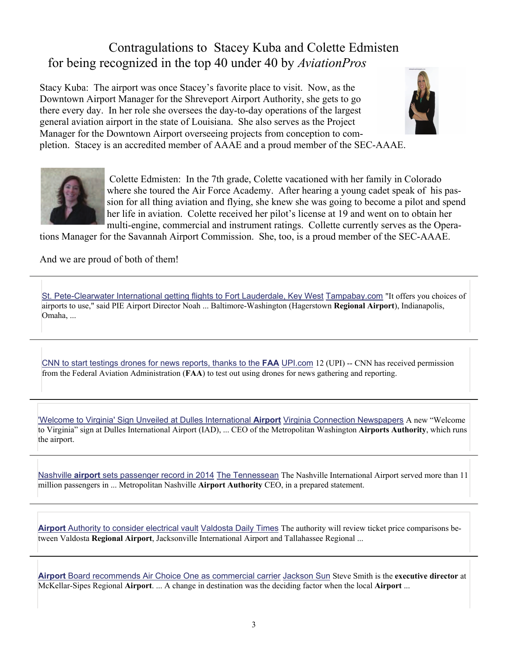## Contragulations to Stacey Kuba and Colette Edmisten for being recognized in the top 40 under 40 by *AviationPros*

Stacy Kuba: The airport was once Stacey's favorite place to visit. Now, as the Downtown Airport Manager for the Shreveport Airport Authority, she gets to go there every day. In her role she oversees the day-to-day operations of the largest general aviation airport in the state of Louisiana. She also serves as the Project Manager for the Downtown Airport overseeing projects from conception to completion. Stacey is an accredited member of AAAE and a proud member of the SEC-AAAE.





 Colette Edmisten: In the 7th grade, Colette vacationed with her family in Colorado where she toured the Air Force Academy. After hearing a young cadet speak of his passion for all thing aviation and flying, she knew she was going to become a pilot and spend her life in aviation. Colette received her pilot's license at 19 and went on to obtain her multi-engine, commercial and instrument ratings. Collette currently serves as the Opera-

tions Manager for the Savannah Airport Commission. She, too, is a proud member of the SEC-AAAE.

And we are proud of both of them!

[St. Pete-Clearwater International getting flights to Fort Lauderdale, Key West](https://www.google.com/url?rct=j&sa=t&url=http://www.tampabay.com/news/business/airlines/st-pete-clearwater-international-getting-flights-to-fort-lauderdale-key/2213360&ct=ga&cd=CAEYACoTNTQ3MjUzNjkzMDYzNzA4ODUxNTIaM2Y2NzM5NTBiODM4ZGNlMTpjb206ZW46VVM&usg=AFQjCNGPUmD3SI66xbfOC5s1M6akc0zCaw) Tampabay.com "It offers you choices of airports to use," said PIE Airport Director Noah ... Baltimore-Washington (Hagerstown **Regional Airport**), Indianapolis, Omaha, ...

[CNN to start testings drones for news reports, thanks to the](https://www.google.com/url?rct=j&sa=t&url=http://www.upi.com/Top_News/US/2015/01/12/CNN-to-start-testings-drones-for-news-reports-thanks-to-the-FAA/3821421104090/&ct=ga&cd=CAEYACoUMTEzNjQ5MDE5Nzc5MTk5NzQzOTEyGmE2ZWU3NmYyY2I3MTEzODU6Y29tOmVuOlVT&usg=AFQjCNF8tHDqNtb60AX_XKvwnl_DXrkaRQ) **FAA** UPI.com 12 (UPI) -- CNN has received permission from the Federal Aviation Administration (**FAA**) to test out using drones for news gathering and reporting.

['Welcome to Virginia' Sign Unveiled at Dulles International](https://www.google.com/url?rct=j&sa=t&url=http://www.connectionnewspapers.com/news/2015/jan/14/welcome-virginia-sign-unveiled-dulles-internationa/&ct=ga&cd=CAEYASoUMTI4MDYzOTQ4NjI3Mzk5MDc0NTkyGjVjNDdjNTdkYTkzYzMzNTE6Y29tOmVuOlVT&usg=AFQjCNEPacZJkY_aCTr3t2yMVa9nyE-cfg) **Airport** Virginia Connection Newspapers A new "Welcome to Virginia" sign at Dulles International Airport (IAD), ... CEO of the Metropolitan Washington **Airports Authority**, which runs the airport.

Nashville **airport** [sets passenger record in 2014](https://www.google.com/url?rct=j&sa=t&url=http://www.tennessean.com/story/news/2015/01/14/nashville-airport-sets-passenger-record/21751657/&ct=ga&cd=CAEYACoUMTUyMDk3Mzc4MzEyNTU1Mzk1MDMyGjVjNDdjNTdkYTkzYzMzNTE6Y29tOmVuOlVT&usg=AFQjCNEaA4ZRGDB4hjQj-imxFHx9AcHeBQ) The Tennessean The Nashville International Airport served more than 11 million passengers in ... Metropolitan Nashville **Airport Authority** CEO, in a prepared statement.

**Airport** [Authority to consider electrical vault](https://www.google.com/url?rct=j&sa=t&url=http://www.valdostadailytimes.com/news/local_news/airport-authority-to-consider-electrical-vault/article_f8fb8f3e-9b98-11e4-bf0e-cf85e55dc139.html&ct=ga&cd=CAEYASoTODU0MjIwNTAzNjQzNDU2NDE5MjIaM2Y2NzM5NTBiODM4ZGNlMTpjb206ZW46VVM&usg=AFQjCNH2_5we5n5itmVsuJYwZlTPzxEQzg) Valdosta Daily Times The authority will review ticket price comparisons between Valdosta **Regional Airport**, Jacksonville International Airport and Tallahassee Regional ...

**Airport** [Board recommends Air Choice One as commercial carrier](https://www.google.com/url?rct=j&sa=t&url=http://www.jacksonsun.com/story/news/local/2015/01/12/airport-board-recommends-air-choice-one-commercial-carrier/21671703/&ct=ga&cd=CAEYACoTNTQ5MjAxOTU3ODM4NDcyOTYyNDIaN2Y0ZGZhZDVjMzdhYmM0NTpjb206ZW46VVM&usg=AFQjCNENWY5xi1l7IlGBPMrmfsB1V5TKBQ) Jackson Sun Steve Smith is the **executive director** at McKellar-Sipes Regional **Airport**. ... A change in destination was the deciding factor when the local **Airport** ...